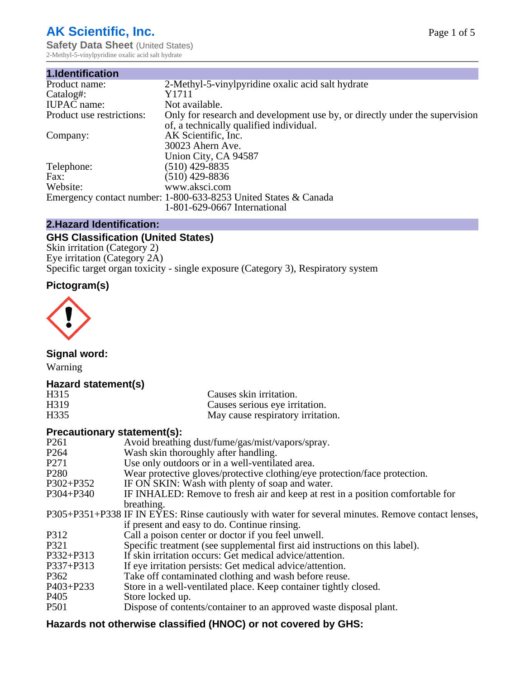# **AK Scientific, Inc.**

**Safety Data Sheet (United States)** 2-Methyl-5-vinylpyridine oxalic acid salt hydrate

| 1.Identification          |                                                                                                                        |
|---------------------------|------------------------------------------------------------------------------------------------------------------------|
| Product name:             | 2-Methyl-5-vinylpyridine oxalic acid salt hydrate                                                                      |
| Catalog#:                 | Y1711                                                                                                                  |
| <b>IUPAC</b> name:        | Not available.                                                                                                         |
| Product use restrictions: | Only for research and development use by, or directly under the supervision<br>of, a technically qualified individual. |
| Company:                  | AK Scientific, Inc.                                                                                                    |
|                           | 30023 Ahern Ave.                                                                                                       |
|                           | Union City, CA 94587                                                                                                   |
| Telephone:                | $(510)$ 429-8835                                                                                                       |
| Fax:                      | $(510)$ 429-8836                                                                                                       |
| Website:                  | www.aksci.com                                                                                                          |
|                           | Emergency contact number: 1-800-633-8253 United States & Canada                                                        |
|                           | 1-801-629-0667 International                                                                                           |
|                           |                                                                                                                        |

# **2.Hazard Identification:**

# **GHS Classification (United States)**

Skin irritation (Category 2) Eye irritation (Category 2A) Specific target organ toxicity - single exposure (Category 3), Respiratory system

# **Pictogram(s)**



**Signal word:**

Warning

## **Hazard statement(s)**

| H315 | Causes skin irritation.           |
|------|-----------------------------------|
| H319 | Causes serious eye irritation.    |
| H335 | May cause respiratory irritation. |

## **Precautionary statement(s):**

| P <sub>261</sub> | Avoid breathing dust/fume/gas/mist/vapors/spray.                                                   |
|------------------|----------------------------------------------------------------------------------------------------|
| P <sub>264</sub> | Wash skin thoroughly after handling.                                                               |
| P <sub>271</sub> | Use only outdoors or in a well-ventilated area.                                                    |
| P <sub>280</sub> | Wear protective gloves/protective clothing/eye protection/face protection.                         |
| P302+P352        | IF ON SKIN: Wash with plenty of soap and water.                                                    |
| $P304 + P340$    | IF INHALED: Remove to fresh air and keep at rest in a position comfortable for                     |
|                  | breathing.                                                                                         |
|                  | P305+P351+P338 IF IN EYES: Rinse cautiously with water for several minutes. Remove contact lenses, |
|                  | if present and easy to do. Continue rinsing.                                                       |
| P312             | Call a poison center or doctor if you feel unwell.                                                 |
| P321             | Specific treatment (see supplemental first aid instructions on this label).                        |
| P332+P313        | If skin irritation occurs: Get medical advice/attention.                                           |
| P337+P313        | If eye irritation persists: Get medical advice/attention.                                          |
| P362             | Take off contaminated clothing and wash before reuse.                                              |
| $P403 + P233$    | Store in a well-ventilated place. Keep container tightly closed.                                   |
| P <sub>405</sub> | Store locked up.                                                                                   |
| P <sub>501</sub> | Dispose of contents/container to an approved waste disposal plant.                                 |
|                  |                                                                                                    |

# **Hazards not otherwise classified (HNOC) or not covered by GHS:**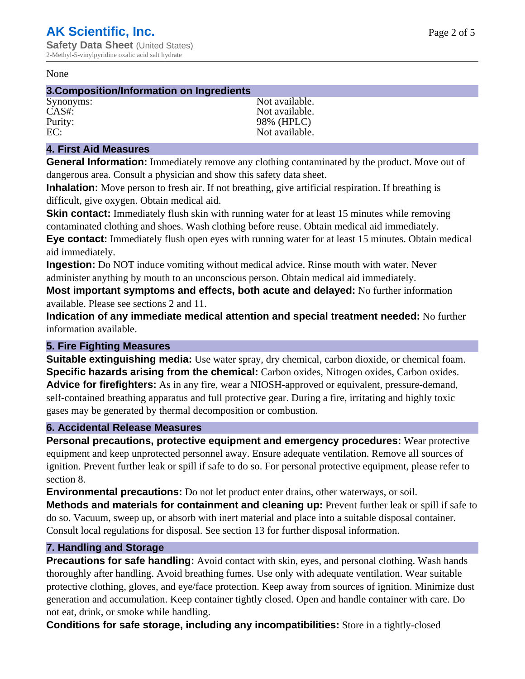#### None

#### **3.Composition/Information on Ingredients**

Synonyms: Not available. CAS#: Not available. Purity: 98% (HPLC)<br>EC: Not available. Not available.

## **4. First Aid Measures**

**General Information:** Immediately remove any clothing contaminated by the product. Move out of dangerous area. Consult a physician and show this safety data sheet.

**Inhalation:** Move person to fresh air. If not breathing, give artificial respiration. If breathing is difficult, give oxygen. Obtain medical aid.

**Skin contact:** Immediately flush skin with running water for at least 15 minutes while removing contaminated clothing and shoes. Wash clothing before reuse. Obtain medical aid immediately. **Eye contact:** Immediately flush open eyes with running water for at least 15 minutes. Obtain medical aid immediately.

**Ingestion:** Do NOT induce vomiting without medical advice. Rinse mouth with water. Never administer anything by mouth to an unconscious person. Obtain medical aid immediately.

**Most important symptoms and effects, both acute and delayed:** No further information available. Please see sections 2 and 11.

**Indication of any immediate medical attention and special treatment needed:** No further information available.

## **5. Fire Fighting Measures**

**Suitable extinguishing media:** Use water spray, dry chemical, carbon dioxide, or chemical foam. **Specific hazards arising from the chemical:** Carbon oxides, Nitrogen oxides, Carbon oxides. **Advice for firefighters:** As in any fire, wear a NIOSH-approved or equivalent, pressure-demand, self-contained breathing apparatus and full protective gear. During a fire, irritating and highly toxic gases may be generated by thermal decomposition or combustion.

#### **6. Accidental Release Measures**

**Personal precautions, protective equipment and emergency procedures:** Wear protective equipment and keep unprotected personnel away. Ensure adequate ventilation. Remove all sources of ignition. Prevent further leak or spill if safe to do so. For personal protective equipment, please refer to section 8.

**Environmental precautions:** Do not let product enter drains, other waterways, or soil.

**Methods and materials for containment and cleaning up:** Prevent further leak or spill if safe to do so. Vacuum, sweep up, or absorb with inert material and place into a suitable disposal container. Consult local regulations for disposal. See section 13 for further disposal information.

#### **7. Handling and Storage**

**Precautions for safe handling:** Avoid contact with skin, eyes, and personal clothing. Wash hands thoroughly after handling. Avoid breathing fumes. Use only with adequate ventilation. Wear suitable protective clothing, gloves, and eye/face protection. Keep away from sources of ignition. Minimize dust generation and accumulation. Keep container tightly closed. Open and handle container with care. Do not eat, drink, or smoke while handling.

**Conditions for safe storage, including any incompatibilities:** Store in a tightly-closed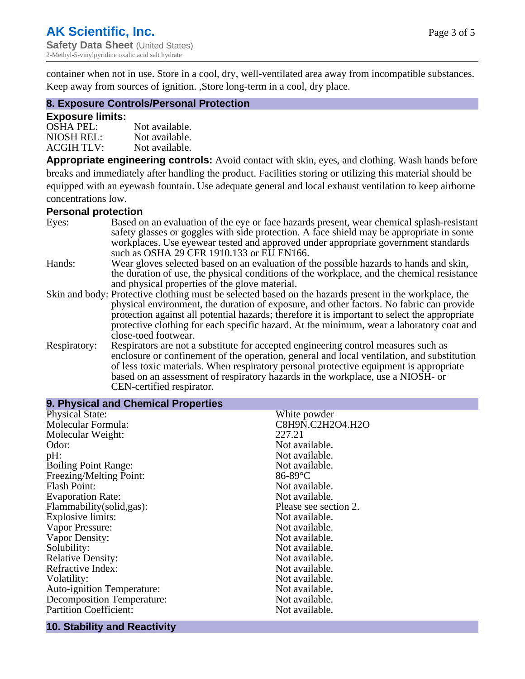container when not in use. Store in a cool, dry, well-ventilated area away from incompatible substances. Keep away from sources of ignition. ,Store long-term in a cool, dry place.

## **8. Exposure Controls/Personal Protection**

#### **Exposure limits:**

| <b>OSHA PEL:</b>  | Not available. |
|-------------------|----------------|
| NIOSH REL:        | Not available. |
| <b>ACGIH TLV:</b> | Not available. |

**Appropriate engineering controls:** Avoid contact with skin, eyes, and clothing. Wash hands before breaks and immediately after handling the product. Facilities storing or utilizing this material should be equipped with an eyewash fountain. Use adequate general and local exhaust ventilation to keep airborne concentrations low.

#### **Personal protection**

| Eyes:        | Based on an evaluation of the eye or face hazards present, wear chemical splash-resistant<br>safety glasses or goggles with side protection. A face shield may be appropriate in some |
|--------------|---------------------------------------------------------------------------------------------------------------------------------------------------------------------------------------|
|              | workplaces. Use eyewear tested and approved under appropriate government standards<br>such as OSHA 29 CFR 1910.133 or EU EN166.                                                       |
| Hands:       | Wear gloves selected based on an evaluation of the possible hazards to hands and skin,                                                                                                |
|              | the duration of use, the physical conditions of the workplace, and the chemical resistance<br>and physical properties of the glove material.                                          |
|              |                                                                                                                                                                                       |
|              | Skin and body: Protective clothing must be selected based on the hazards present in the workplace, the                                                                                |
|              | physical environment, the duration of exposure, and other factors. No fabric can provide                                                                                              |
|              | protection against all potential hazards; therefore it is important to select the appropriate                                                                                         |
|              | protective clothing for each specific hazard. At the minimum, wear a laboratory coat and                                                                                              |
|              | close-toed footwear.                                                                                                                                                                  |
| Respiratory: | Respirators are not a substitute for accepted engineering control measures such as<br>enclosure or confinement of the operation, general and local ventilation, and substitution      |
|              | of less toxic materials. When respiratory personal protective equipment is appropriate                                                                                                |
|              | based on an assessment of respiratory hazards in the workplace, use a NIOSH- or                                                                                                       |
|              | CEN-certified respirator.                                                                                                                                                             |

| 9. Physical and Chemical Properties |                       |
|-------------------------------------|-----------------------|
| <b>Physical State:</b>              | White powder          |
| Molecular Formula:                  | C8H9N.C2H2O4.H2O      |
| Molecular Weight:                   | 227.21                |
| Odor:                               | Not available.        |
| pH:                                 | Not available.        |
| <b>Boiling Point Range:</b>         | Not available.        |
| Freezing/Melting Point:             | $86-89$ °C            |
| <b>Flash Point:</b>                 | Not available.        |
| <b>Evaporation Rate:</b>            | Not available.        |
| Flammability(solid,gas):            | Please see section 2. |
| Explosive limits:                   | Not available.        |
| Vapor Pressure:                     | Not available.        |
| Vapor Density:                      | Not available.        |
| Solubility:                         | Not available.        |
| <b>Relative Density:</b>            | Not available.        |
| Refractive Index:                   | Not available.        |
| Volatility:                         | Not available.        |
| <b>Auto-ignition Temperature:</b>   | Not available.        |
| Decomposition Temperature:          | Not available.        |
| <b>Partition Coefficient:</b>       | Not available.        |
|                                     |                       |

#### **10. Stability and Reactivity**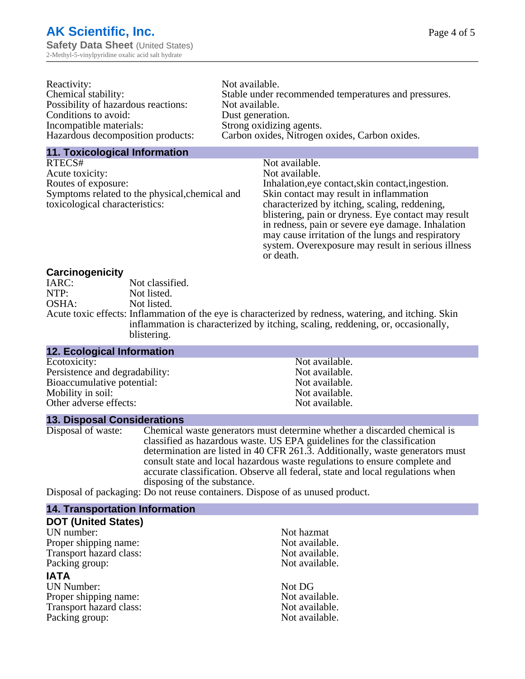| Not available.                                       |
|------------------------------------------------------|
| Stable under recommended temperatures and pressures. |
| Not available.                                       |
| Dust generation.                                     |
| Strong oxidizing agents.                             |
| Carbon oxides, Nitrogen oxides, Carbon oxides.       |
|                                                      |

#### **11. Toxicological Information**

| RTECS#                                         | Not available.                                      |
|------------------------------------------------|-----------------------------------------------------|
| Acute toxicity:                                | Not available.                                      |
| Routes of exposure:                            | Inhalation, eye contact, skin contact, ingestion.   |
| Symptoms related to the physical, chemical and | Skin contact may result in inflammation             |
| toxicological characteristics:                 | characterized by itching, scaling, reddening,       |
|                                                | blistering, pain or dryness. Eye contact may result |
|                                                | in redness, pain or severe eye damage. Inhalation   |
|                                                | may cause irritation of the lungs and respiratory   |
|                                                | system. Overexposure may result in serious illness  |

or death.

#### **Carcinogenicity**

| IARC: | Not classified.                                                                                       |
|-------|-------------------------------------------------------------------------------------------------------|
| NTP:  | Not listed.                                                                                           |
| OSHA: | Not listed.                                                                                           |
|       | Acute toxic effects: Inflammation of the eye is characterized by redness, watering, and itching. Skin |
|       | inflammation is characterized by itching, scaling, reddening, or, occasionally,                       |
|       | blistering.                                                                                           |

| <b>12. Ecological Information</b> |                |  |
|-----------------------------------|----------------|--|
| Ecotoxicity:                      | Not available. |  |
| Persistence and degradability:    | Not available. |  |
| Bioaccumulative potential:        | Not available. |  |
| Mobility in soil:                 | Not available. |  |
| Other adverse effects:            | Not available. |  |

#### **13. Disposal Considerations**

Disposal of waste: Chemical waste generators must determine whether a discarded chemical is classified as hazardous waste. US EPA guidelines for the classification determination are listed in 40 CFR 261.3. Additionally, waste generators must consult state and local hazardous waste regulations to ensure complete and accurate classification. Observe all federal, state and local regulations when disposing of the substance.

Disposal of packaging: Do not reuse containers. Dispose of as unused product.

| <b>14. Transportation Information</b> |                |
|---------------------------------------|----------------|
| <b>DOT (United States)</b>            |                |
| UN number:                            | Not hazmat     |
| Proper shipping name:                 | Not available. |
| Transport hazard class:               | Not available. |
| Packing group:                        | Not available. |
| <b>IATA</b>                           |                |
| <b>UN Number:</b>                     | Not DG         |
| Proper shipping name:                 | Not available. |
| Transport hazard class:               | Not available. |
| Packing group:                        | Not available. |